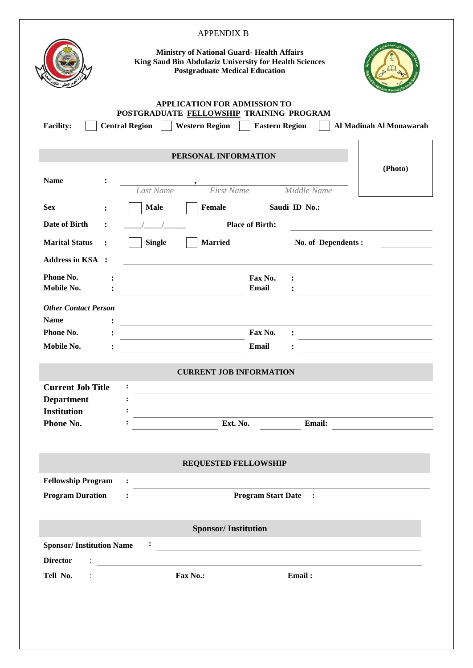|                                 |                | <b>APPENDIX B</b>                                                                                                                                    |                                                                                                                                                                                                                                   |  |  |  |  |  |  |
|---------------------------------|----------------|------------------------------------------------------------------------------------------------------------------------------------------------------|-----------------------------------------------------------------------------------------------------------------------------------------------------------------------------------------------------------------------------------|--|--|--|--|--|--|
|                                 |                | <b>Ministry of National Guard- Health Affairs</b><br>King Saud Bin Abdulaziz University for Health Sciences<br><b>Postgraduate Medical Education</b> |                                                                                                                                                                                                                                   |  |  |  |  |  |  |
| <b>Facility:</b>                |                | <b>APPLICATION FOR ADMISSION TO</b><br>Central Region     Western Region                                                                             | POSTGRADUATE FELLOWSHIP TRAINING PROGRAM<br><b>Eastern Region</b><br>Al Madinah Al Monawarah                                                                                                                                      |  |  |  |  |  |  |
|                                 |                | PERSONAL INFORMATION                                                                                                                                 |                                                                                                                                                                                                                                   |  |  |  |  |  |  |
| <b>Name</b>                     |                | Last Name                                                                                                                                            | (Photo)<br><b>First Name</b><br>Middle Name                                                                                                                                                                                       |  |  |  |  |  |  |
| <b>Sex</b>                      | $\ddot{\cdot}$ | <b>Male</b><br>Female                                                                                                                                | Saudi ID No.:                                                                                                                                                                                                                     |  |  |  |  |  |  |
| Date of Birth                   | $\ddot{\cdot}$ |                                                                                                                                                      | <b>Place of Birth:</b><br>the control of the control of the control of the control of the control of                                                                                                                              |  |  |  |  |  |  |
| <b>Marital Status</b>           |                | <b>Single</b><br><b>Married</b>                                                                                                                      | No. of Dependents:                                                                                                                                                                                                                |  |  |  |  |  |  |
| <b>Address in KSA :</b>         |                | the control of the control of the control of the control of the control of the control of                                                            |                                                                                                                                                                                                                                   |  |  |  |  |  |  |
| Phone No.<br>Mobile No.         |                | <u> 1980 - Johann Barbara, martxa al</u>                                                                                                             | Fax No.<br><u> 1989 - Johann Barn, amerikansk politiker (d. 1989)</u><br><b>Email</b>                                                                                                                                             |  |  |  |  |  |  |
| <b>Other Contact Person</b>     |                |                                                                                                                                                      |                                                                                                                                                                                                                                   |  |  |  |  |  |  |
| <b>Name</b><br>Phone No.        |                | <u> 1989 - Johann Barn, mars eta bainar eta industrial eta erromana eta erromana eta erromana eta erromana eta e</u>                                 | Fax No.                                                                                                                                                                                                                           |  |  |  |  |  |  |
| Mobile No.                      |                | <u> 1989 - Andrea Station Books, amerikansk politik (</u>                                                                                            | <u> 1989 - Andrea State Barbara, política e a contrar a la contrar de la contrar de la contrar de la contrar de</u><br>Email                                                                                                      |  |  |  |  |  |  |
|                                 |                |                                                                                                                                                      | <b>CURRENT JOB INFORMATION</b>                                                                                                                                                                                                    |  |  |  |  |  |  |
| <b>Current Job Title</b>        |                | :                                                                                                                                                    |                                                                                                                                                                                                                                   |  |  |  |  |  |  |
| <b>Department</b>               |                |                                                                                                                                                      |                                                                                                                                                                                                                                   |  |  |  |  |  |  |
| <b>Institution</b><br>Phone No. |                |                                                                                                                                                      | Ext. No.<br>Email:                                                                                                                                                                                                                |  |  |  |  |  |  |
|                                 |                |                                                                                                                                                      |                                                                                                                                                                                                                                   |  |  |  |  |  |  |
|                                 |                |                                                                                                                                                      | <b>REQUESTED FELLOWSHIP</b>                                                                                                                                                                                                       |  |  |  |  |  |  |
| <b>Fellowship Program</b>       |                | <u> 1980 - Jan Sterling Sterling, amerikansk politiker (</u>                                                                                         |                                                                                                                                                                                                                                   |  |  |  |  |  |  |
| <b>Program Duration</b>         |                | $\ddot{\cdot}$                                                                                                                                       | <b>Program Start Date:</b>                                                                                                                                                                                                        |  |  |  |  |  |  |
|                                 |                |                                                                                                                                                      | <b>Sponsor/Institution</b>                                                                                                                                                                                                        |  |  |  |  |  |  |
| <b>Sponsor/Institution Name</b> |                |                                                                                                                                                      | $\frac{1}{2}$ . The contract of the contract of the contract of the contract of the contract of the contract of the contract of the contract of the contract of the contract of the contract of the contract of the contract of t |  |  |  |  |  |  |
| <b>Director</b>                 |                |                                                                                                                                                      |                                                                                                                                                                                                                                   |  |  |  |  |  |  |
| Tell No.                        |                |                                                                                                                                                      | Fax No.: $\qquad \qquad$<br>Email:                                                                                                                                                                                                |  |  |  |  |  |  |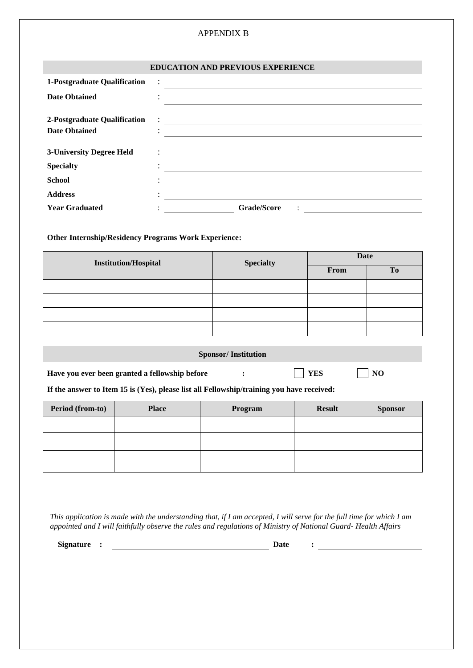# APPENDIX B

## **EDUCATION AND PREVIOUS EXPERIENCE**

| 1-Postgraduate Qualification    | $\ddot{\phantom{0}}$ : |                                                                                                                       |
|---------------------------------|------------------------|-----------------------------------------------------------------------------------------------------------------------|
| <b>Date Obtained</b>            | $\bullet$              |                                                                                                                       |
| 2-Postgraduate Qualification    |                        | <u> 1980 - Jan Samuel Barbara, político establecer a la propia de la propia de la propia de la propia de la propi</u> |
| <b>Date Obtained</b>            | $\bullet$<br>$\bullet$ |                                                                                                                       |
| <b>3-University Degree Held</b> | $\cdot$                |                                                                                                                       |
| <b>Specialty</b>                | ٠<br>$\bullet$         |                                                                                                                       |
| <b>School</b>                   | ٠                      |                                                                                                                       |
| <b>Address</b>                  |                        |                                                                                                                       |
| <b>Year Graduated</b>           | ٠<br>$\cdot$           | <b>Grade/Score</b><br>$\ddot{\cdot}$                                                                                  |

### **Other Internship/Residency Programs Work Experience:**

| <b>Institution/Hospital</b> | <b>Specialty</b> | <b>Date</b> |                |  |
|-----------------------------|------------------|-------------|----------------|--|
|                             |                  | From        | T <sub>0</sub> |  |
|                             |                  |             |                |  |
|                             |                  |             |                |  |
|                             |                  |             |                |  |
|                             |                  |             |                |  |

## **Sponsor/ Institution**

**Have you ever been granted a fellowship before : WES NO** 

**If the answer to Item 15 is (Yes), please list all Fellowship/training you have received:** 

| Period (from-to) | <b>Place</b> | Program | <b>Result</b> | <b>Sponsor</b> |
|------------------|--------------|---------|---------------|----------------|
|                  |              |         |               |                |
|                  |              |         |               |                |
|                  |              |         |               |                |

*This application is made with the understanding that, if I am accepted, I will serve for the full time for which I am appointed and I will faithfully observe the rules and regulations of Ministry of National Guard- Health Affairs*

**Signature : Date :**